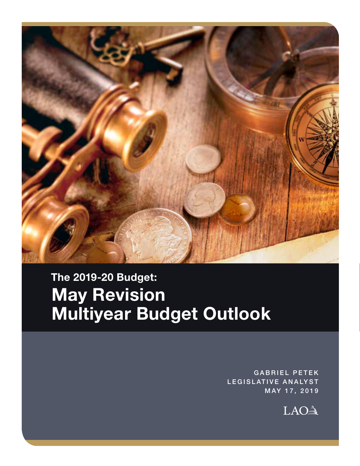

# **May Revision Multiyear Budget Outlook The 2019-20 Budget:**

GABRIEL PETEK LEGISLATIVE ANALYST MAY 17, 2019

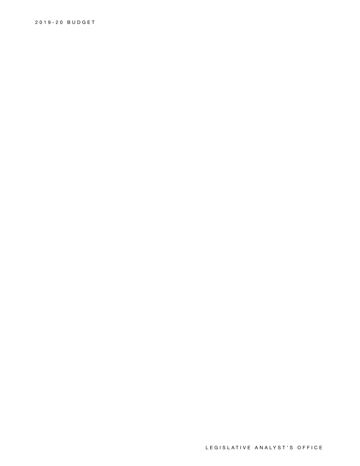2019-20 BUDGET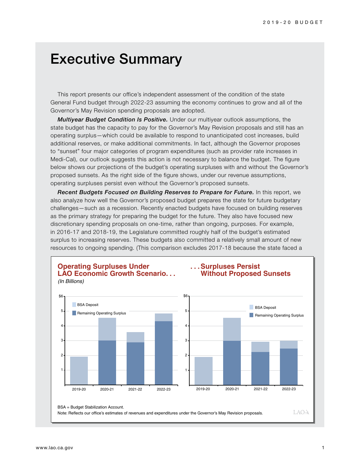## Executive Summary

This report presents our office's independent assessment of the condition of the state General Fund budget through 2022-23 assuming the economy continues to grow and all of the Governor's May Revision spending proposals are adopted.

*Multiyear Budget Condition Is Positive.* Under our multiyear outlook assumptions, the state budget has the capacity to pay for the Governor's May Revision proposals and still has an operating surplus—which could be available to respond to unanticipated cost increases, build additional reserves, or make additional commitments. In fact, although the Governor proposes to "sunset" four major categories of program expenditures (such as provider rate increases in Medi-Cal), our outlook suggests this action is not necessary to balance the budget. The figure below shows our projections of the budget's operating surpluses with and without the Governor's proposed sunsets. As the right side of the figure shows, under our revenue assumptions, operating surpluses persist even without the Governor's proposed sunsets.

*Recent Budgets Focused on Building Reserves to Prepare for Future.* In this report, we also analyze how well the Governor's proposed budget prepares the state for future budgetary challenges—such as a recession. Recently enacted budgets have focused on building reserves as the primary strategy for preparing the budget for the future. They also have focused new discretionary spending proposals on one-time, rather than ongoing, purposes. For example, in 2016-17 and 2018-19, the Legislature committed roughly half of the budget's estimated surplus to increasing reserves. These budgets also committed a relatively small amount of new resources to ongoing spending. (This comparison excludes 2017-18 because the state faced a

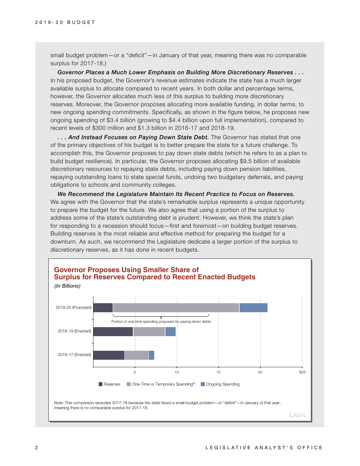small budget problem—or a "deficit"—in January of that year, meaning there was no comparable surplus for 2017-18.)

*Governor Places a Much Lower Emphasis on Building More Discretionary Reserves . . .*  In his proposed budget, the Governor's revenue estimates indicate the state has a much larger available surplus to allocate compared to recent years. In both dollar and percentage terms, however, the Governor allocates much less of this surplus to building more discretionary reserves. Moreover, the Governor proposes allocating more available funding, in dollar terms, to new ongoing spending commitments. Specifically, as shown in the figure below, he proposes new ongoing spending of \$3.4 billion (growing to \$4.4 billion upon full implementation), compared to recent levels of \$300 million and \$1.3 billion in 2016-17 and 2018-19.

*. . . And Instead Focuses on Paying Down State Debt.* The Governor has stated that one of the primary objectives of his budget is to better prepare the state for a future challenge. To accomplish this, the Governor proposes to pay down state debts (which he refers to as a plan to build budget resilience). In particular, the Governor proposes allocating \$9.5 billion of available discretionary resources to repaying state debts, including paying down pension liabilities, repaying outstanding loans to state special funds, undoing two budgetary deferrals, and paying obligations to schools and community colleges.

*We Recommend the Legislature Maintain Its Recent Practice to Focus on Reserves.*  We agree with the Governor that the state's remarkable surplus represents a unique opportunity to prepare the budget for the future. We also agree that using a portion of the surplus to address some of the state's outstanding debt is prudent. However, we think the state's plan for responding to a recession should focus—first and foremost—on building budget reserves. Building reserves is the most reliable and effective method for preparing the budget for a downturn. As such, we recommend the Legislature dedicate a larger portion of the surplus to discretionary reserves, as it has done in recent budgets.

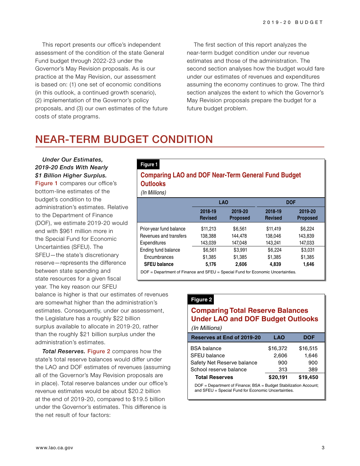This report presents our office's independent assessment of the condition of the state General Fund budget through 2022-23 under the Governor's May Revision proposals. As is our practice at the May Revision, our assessment is based on: (1) one set of economic conditions (in this outlook, a continued growth scenario), (2) implementation of the Governor's policy proposals, and (3) our own estimates of the future costs of state programs.

The first section of this report analyzes the near-term budget condition under our revenue estimates and those of the administration. The second section analyses how the budget would fare under our estimates of revenues and expenditures assuming the economy continues to grow. The third section analyzes the extent to which the Governor's May Revision proposals prepare the budget for a future budget problem.

## NEAR-TERM BUDGET CONDITION

#### *Under Our Estimates, 2019-20 Ends With Nearly \$1 Billion Higher Surplus.*

Figure 1 compares our office's bottom-line estimates of the budget's condition to the administration's estimates. Relative to the Department of Finance (DOF), we estimate 2019-20 would end with \$961 million more in the Special Fund for Economic Uncertainties (SFEU). The SFEU—the state's discretionary reserve—represents the difference between state spending and state resources for a given fiscal year. The key reason our SFEU

balance is higher is that our estimates of revenues are somewhat higher than the administration's estimates. Consequently, under our assessment, the Legislature has a roughly \$22 billion surplus available to allocate in 2019-20, rather than the roughly \$21 billion surplus under the administration's estimates.

**Total Reserves. Figure 2 compares how the** state's total reserve balances would differ under the LAO and DOF estimates of revenues (assuming all of the Governor's May Revision proposals are in place). Total reserve balances under our office's revenue estimates would be about \$20.2 billion at the end of 2019-20, compared to \$19.5 billion under the Governor's estimates. This difference is the net result of four factors:

### **Figure 1**

### **Comparing LAO and DOF Near-Term General Fund Budget Outlooks**

*(In Millions)*

|                                                                                 | <b>LAO</b>                |                            | <b>DOF</b>                |                            |
|---------------------------------------------------------------------------------|---------------------------|----------------------------|---------------------------|----------------------------|
|                                                                                 | 2018-19<br><b>Revised</b> | 2019-20<br><b>Proposed</b> | 2018-19<br><b>Revised</b> | 2019-20<br><b>Proposed</b> |
| Prior-year fund balance                                                         | \$11,213                  | \$6,561                    | \$11,419                  | \$6,224                    |
| Revenues and transfers                                                          | 138,388                   | 144,478                    | 138,046                   | 143,839                    |
| Expenditures                                                                    | 143,039                   | 147,048                    | 143,241                   | 147,033                    |
| Ending fund balance                                                             | \$6,561                   | \$3,991                    | \$6,224                   | \$3,031                    |
| Encumbrances                                                                    | \$1,385                   | \$1,385                    | \$1,385                   | \$1,385                    |
| <b>SFEU balance</b>                                                             | 5,176                     | 2,606                      | 4,839                     | 1,646                      |
| DOF = Department of Finance and SFEU = Special Fund for Economic Uncertainties. |                           |                            |                           |                            |

#### **Figure 2**

## **Comparing Total Reserve Balances Under LAO and DOF Budget Outlooks**

*(In Millions)*

| <b>Reserves at End of 2019-20</b>                                                                                       | <b>LAO</b> | DOF      |  |
|-------------------------------------------------------------------------------------------------------------------------|------------|----------|--|
| <b>BSA balance</b>                                                                                                      | \$16,372   | \$16,515 |  |
| <b>SFEU</b> balance                                                                                                     | 2.606      | 1,646    |  |
| Safety Net Reserve balance                                                                                              | 900        | 900      |  |
| School reserve balance                                                                                                  | 313        | 389      |  |
| <b>Total Reserves</b>                                                                                                   | \$20,191   | \$19,450 |  |
| DOF = Department of Finance; BSA = Budget Stabilization Account;<br>and SFEU = Special Fund for Economic Uncertainties. |            |          |  |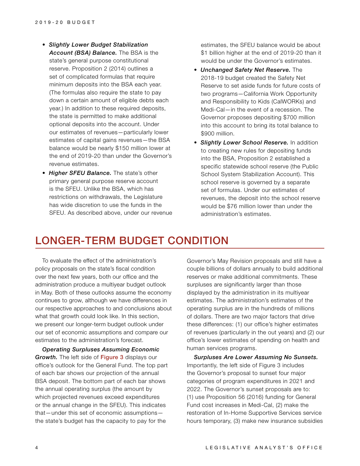- *Slightly Lower Budget Stabilization Account (BSA) Balance.* The BSA is the state's general purpose constitutional reserve. Proposition 2 (2014) outlines a set of complicated formulas that require minimum deposits into the BSA each year. (The formulas also require the state to pay down a certain amount of eligible debts each year.) In addition to these required deposits, the state is permitted to make additional optional deposits into the account. Under our estimates of revenues—particularly lower estimates of capital gains revenues—the BSA balance would be nearly \$150 million lower at the end of 2019-20 than under the Governor's revenue estimates.
- *Higher SFEU Balance.* The state's other primary general purpose reserve account is the SFEU. Unlike the BSA, which has restrictions on withdrawals, the Legislature has wide discretion to use the funds in the SFEU. As described above, under our revenue

estimates, the SFEU balance would be about \$1 billion higher at the end of 2019-20 than it would be under the Governor's estimates.

- *Unchanged Safety Net Reserve.* The 2018-19 budget created the Safety Net Reserve to set aside funds for future costs of two programs—California Work Opportunity and Responsibility to Kids (CalWORKs) and Medi-Cal—in the event of a recession. The Governor proposes depositing \$700 million into this account to bring its total balance to \$900 million.
- *Slightly Lower School Reserve.* In addition to creating new rules for depositing funds into the BSA, Proposition 2 established a specific statewide school reserve (the Public School System Stabilization Account). This school reserve is governed by a separate set of formulas. Under our estimates of revenues, the deposit into the school reserve would be \$76 million lower than under the administration's estimates.

## LONGER-TERM BUDGET CONDITION

To evaluate the effect of the administration's policy proposals on the state's fiscal condition over the next few years, both our office and the administration produce a multiyear budget outlook in May. Both of these outlooks assume the economy continues to grow, although we have differences in our respective approaches to and conclusions about what that growth could look like. In this section, we present our longer-term budget outlook under our set of economic assumptions and compare our estimates to the administration's forecast.

*Operating Surpluses Assuming Economic Growth.* The left side of Figure 3 displays our office's outlook for the General Fund. The top part of each bar shows our projection of the annual BSA deposit. The bottom part of each bar shows the annual operating surplus (the amount by which projected revenues exceed expenditures or the annual change in the SFEU). This indicates that—under this set of economic assumptions the state's budget has the capacity to pay for the

Governor's May Revision proposals and still have a couple billions of dollars annually to build additional reserves or make additional commitments. These surpluses are significantly larger than those displayed by the administration in its multiyear estimates. The administration's estimates of the operating surplus are in the hundreds of millions of dollars. There are two major factors that drive these differences: (1) our office's higher estimates of revenues (particularly in the out years) and (2) our office's lower estimates of spending on health and human services programs.

*Surpluses Are Lower Assuming No Sunsets.* Importantly, the left side of Figure 3 includes the Governor's proposal to sunset four major categories of program expenditures in 2021 and 2022. The Governor's sunset proposals are to: (1) use Proposition 56 (2016) funding for General Fund cost increases in Medi-Cal, (2) make the restoration of In-Home Supportive Services service hours temporary, (3) make new insurance subsidies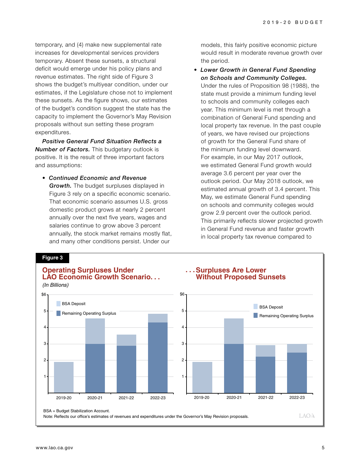temporary, and (4) make new supplemental rate increases for developmental services providers temporary. Absent these sunsets, a structural deficit would emerge under his policy plans and revenue estimates. The right side of Figure 3 shows the budget's multiyear condition, under our estimates, if the Legislature chose not to implement these sunsets. As the figure shows, our estimates of the budget's condition suggest the state has the capacity to implement the Governor's May Revision proposals without sun setting these program expenditures.

*Positive General Fund Situation Reflects a Number of Factors.* This budgetary outlook is positive. It is the result of three important factors and assumptions:

• *Continued Economic and Revenue Growth.* The budget surpluses displayed in Figure 3 rely on a specific economic scenario. That economic scenario assumes U.S. gross domestic product grows at nearly 2 percent annually over the next five years, wages and salaries continue to grow above 3 percent annually, the stock market remains mostly flat, and many other conditions persist. Under our

models, this fairly positive economic picture would result in moderate revenue growth over the period.

• *Lower Growth in General Fund Spending on Schools and Community Colleges.*

Under the rules of Proposition 98 (1988), the state must provide a minimum funding level to schools and community colleges each year. This minimum level is met through a combination of General Fund spending and local property tax revenue. In the past couple of years, we have revised our projections of growth for the General Fund share of the minimum funding level downward. For example, in our May 2017 outlook, we estimated General Fund growth would average 3.6 percent per year over the outlook period. Our May 2018 outlook, we estimated annual growth of 3.4 percent. This May, we estimate General Fund spending on schools and community colleges would grow 2.9 percent over the outlook period. This primarily reflects slower projected growth in General Fund revenue and faster growth in local property tax revenue compared to

#### **Figure 3**

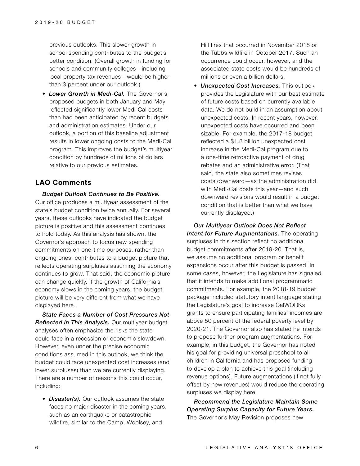previous outlooks. This slower growth in school spending contributes to the budget's better condition. (Overall growth in funding for schools and community colleges—including local property tax revenues—would be higher than 3 percent under our outlook.)

• *Lower Growth in Medi-Cal.* The Governor's proposed budgets in both January and May reflected significantly lower Medi-Cal costs than had been anticipated by recent budgets and administration estimates. Under our outlook, a portion of this baseline adjustment results in lower ongoing costs to the Medi-Cal program. This improves the budget's multiyear condition by hundreds of millions of dollars relative to our previous estimates.

### **LAO Comments**

*Budget Outlook Continues to Be Positive.* Our office produces a multiyear assessment of the state's budget condition twice annually. For several years, these outlooks have indicated the budget picture is positive and this assessment continues to hold today. As this analysis has shown, the Governor's approach to focus new spending commitments on one-time purposes, rather than ongoing ones, contributes to a budget picture that reflects operating surpluses assuming the economy continues to grow. That said, the economic picture can change quickly. If the growth of California's economy slows in the coming years, the budget picture will be very different from what we have displayed here.

*State Faces a Number of Cost Pressures Not Reflected in This Analysis.* Our multiyear budget analyses often emphasize the risks the state could face in a recession or economic slowdown. However, even under the precise economic conditions assumed in this outlook, we think the budget could face unexpected cost increases (and lower surpluses) than we are currently displaying. There are a number of reasons this could occur, including:

• *Disaster(s).* Our outlook assumes the state faces no major disaster in the coming years, such as an earthquake or catastrophic wildfire, similar to the Camp, Woolsey, and

Hill fires that occurred in November 2018 or the Tubbs wildfire in October 2017. Such an occurrence could occur, however, and the associated state costs would be hundreds of millions or even a billion dollars.

• *Unexpected Cost Increases.* This outlook provides the Legislature with our best estimate of future costs based on currently available data. We do not build in an assumption about unexpected costs. In recent years, however, unexpected costs have occurred and been sizable. For example, the 2017-18 budget reflected a \$1.8 billion unexpected cost increase in the Medi-Cal program due to a one-time retroactive payment of drug rebates and an administrative error. (That said, the state also sometimes revises costs downward—as the administration did with Medi-Cal costs this year—and such downward revisions would result in a budget condition that is better than what we have currently displayed.)

*Our Multiyear Outlook Does Not Reflect Intent for Future Augmentations.* The operating surpluses in this section reflect no additional budget commitments after 2019-20. That is, we assume no additional program or benefit expansions occur after this budget is passed. In some cases, however, the Legislature has signaled that it intends to make additional programmatic commitments. For example, the 2018-19 budget package included statutory intent language stating the Legislature's goal to increase CalWORKs grants to ensure participating families' incomes are above 50 percent of the federal poverty level by 2020-21. The Governor also has stated he intends to propose further program augmentations. For example, in this budget, the Governor has noted his goal for providing universal preschool to all children in California and has proposed funding to develop a plan to achieve this goal (including revenue options). Future augmentations (if not fully offset by new revenues) would reduce the operating surpluses we display here.

*Recommend the Legislature Maintain Some Operating Surplus Capacity for Future Years.*  The Governor's May Revision proposes new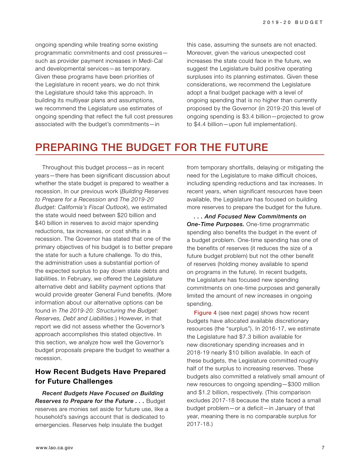ongoing spending while treating some existing programmatic commitments and cost pressures such as provider payment increases in Medi-Cal and developmental services—as temporary. Given these programs have been priorities of the Legislature in recent years, we do not think the Legislature should take this approach. In building its multiyear plans and assumptions, we recommend the Legislature use estimates of ongoing spending that reflect the full cost pressures associated with the budget's commitments—in

this case, assuming the sunsets are not enacted. Moreover, given the various unexpected cost increases the state could face in the future, we suggest the Legislature build positive operating surpluses into its planning estimates. Given these considerations, we recommend the Legislature adopt a final budget package with a level of ongoing spending that is no higher than currently proposed by the Governor (in 2019-20 this level of ongoing spending is \$3.4 billion—projected to grow to \$4.4 billion—upon full implementation).

## PREPARING THE BUDGET FOR THE FUTURE

Throughout this budget process—as in recent years—there has been significant discussion about whether the state budget is prepared to weather a recession. In our previous work (*Building Reserves to Prepare for a Recession* and *The 2019-20 Budget: California's Fiscal Outlook*), we estimated the state would need between \$20 billion and \$40 billion in reserves to avoid major spending reductions, tax increases, or cost shifts in a recession. The Governor has stated that one of the primary objectives of his budget is to better prepare the state for such a future challenge. To do this, the administration uses a substantial portion of the expected surplus to pay down state debts and liabilities. In February, we offered the Legislature alternative debt and liability payment options that would provide greater General Fund benefits. (More information about our alternative options can be found in *The 2019-20: Structuring the Budget: Reserves, Debt and Liabilities*.) However, in that report we did not assess whether the Governor's approach accomplishes this stated objective. In this section, we analyze how well the Governor's budget proposals prepare the budget to weather a recession.

## **How Recent Budgets Have Prepared for Future Challenges**

*Recent Budgets Have Focused on Building Reserves to Prepare for the Future . . .* Budget reserves are monies set aside for future use, like a household's savings account that is dedicated to emergencies. Reserves help insulate the budget

from temporary shortfalls, delaying or mitigating the need for the Legislature to make difficult choices, including spending reductions and tax increases. In recent years, when significant resources have been available, the Legislature has focused on building more reserves to prepare the budget for the future.

*. . . And Focused New Commitments on One-Time Purposes.* One-time programmatic spending also benefits the budget in the event of a budget problem. One-time spending has one of the benefits of reserves (it reduces the size of a future budget problem) but not the other benefit of reserves (holding money available to spend on programs in the future). In recent budgets, the Legislature has focused new spending commitments on one-time purposes and generally limited the amount of new increases in ongoing spending.

**Figure 4** (see next page) shows how recent budgets have allocated available discretionary resources (the "surplus"). In 2016-17, we estimate the Legislature had \$7.3 billion available for new discretionary spending increases and in 2018-19 nearly \$10 billion available. In each of these budgets, the Legislature committed roughly half of the surplus to increasing reserves. These budgets also committed a relatively small amount of new resources to ongoing spending—\$300 million and \$1.2 billion, respectively. (This comparison excludes 2017-18 because the state faced a small budget problem—or a deficit—in January of that year, meaning there is no comparable surplus for 2017-18.)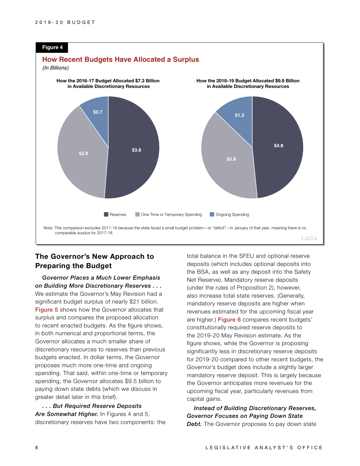#### **Figure 4**

#### **How Recent Budgets Have Allocated a Surplus**

*(In Billions)*



## **The Governor's New Approach to Preparing the Budget**

*Governor Places a Much Lower Emphasis on Building More Discretionary Reserves . . .* We estimate the Governor's May Revision had a significant budget surplus of nearly \$21 billion. **Figure 5** shows how the Governor allocates that surplus and compares the proposed allocation to recent enacted budgets. As the figure shows, in both numerical and proportional terms, the Governor allocates a much smaller share of discretionary resources to reserves than previous budgets enacted. In dollar terms, the Governor proposes much more one-time and ongoing spending. That said, within one-time or temporary spending, the Governor allocates \$9.5 billion to paying down state debts (which we discuss in greater detail later in this brief).

*. . . But Required Reserve Deposits*  Are Somewhat Higher. In Figures 4 and 5, discretionary reserves have two components: the total balance in the SFEU and optional reserve deposits (which includes optional deposits into the BSA, as well as any deposit into the Safety Net Reserve). Mandatory reserve deposits (under the rules of Proposition 2), however, also increase total state reserves. (Generally, mandatory reserve deposits are higher when revenues estimated for the upcoming fiscal year are higher.) Figure 6 compares recent budgets' constitutionally required reserve deposits to the 2019-20 May Revision estimate. As the figure shows, while the Governor is proposing significantly less in discretionary reserve deposits for 2019-20 compared to other recent budgets, the Governor's budget does include a slightly larger mandatory reserve deposit. This is largely because the Governor anticipates more revenues for the upcoming fiscal year, particularly revenues from capital gains.

*Instead of Building Discretionary Reserves, Governor Focuses on Paying Down State*  **Debt.** The Governor proposes to pay down state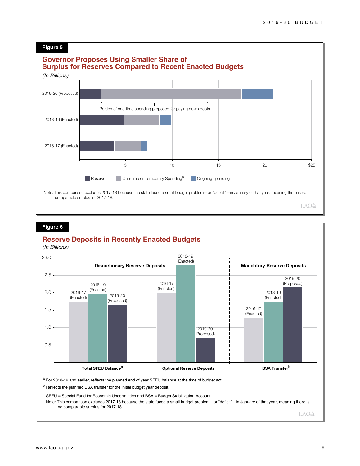

LAOA

#### **Figure 6**

## **Reserve Deposits in Recently Enacted Budgets**

*(In Billions)*



SFEU = Special Fund for Economic Uncertainties and BSA = Budget Stabilization Account.

Note: This comparison excludes 2017-18 because the state faced a small budget problem—or "deficit"—in January of that year, meaning there is no comparable surplus for 2017-18.

LAOA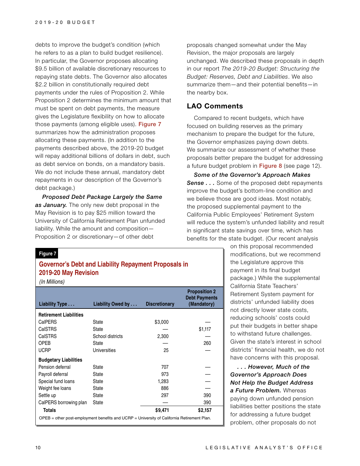debts to improve the budget's condition (which he refers to as a plan to build budget resilience). In particular, the Governor proposes allocating \$9.5 billion of available discretionary resources to repaying state debts. The Governor also allocates \$2.2 billion in constitutionally required debt payments under the rules of Proposition 2. While Proposition 2 determines the minimum amount that must be spent on debt payments, the measure gives the Legislature flexibility on how to allocate those payments (among eligible uses). Figure 7 summarizes how the administration proposes allocating these payments. (In addition to the payments described above, the 2019-20 budget will repay additional billions of dollars in debt, such as debt service on bonds, on a mandatory basis. We do not include these annual, mandatory debt repayments in our description of the Governor's debt package.)

*Proposed Debt Package Largely the Same as January.* The only new debt proposal in the May Revision is to pay \$25 million toward the University of California Retirement Plan unfunded liability. While the amount and composition— Proposition 2 or discretionary—of other debt

#### **Figure 7**

### **Governor's Debt and Liability Repayment Proposals in 2019-20 May Revision**

*(In Millions)*

| Liability Type                                                                               | Liability Owed by | <b>Discretionary</b> | <b>Proposition 2</b><br><b>Debt Payments</b><br>(Mandatory) |  |
|----------------------------------------------------------------------------------------------|-------------------|----------------------|-------------------------------------------------------------|--|
| <b>Retirement Liabilities</b>                                                                |                   |                      |                                                             |  |
| CalPERS                                                                                      | State             | \$3,000              |                                                             |  |
| CalSTRS                                                                                      | State             |                      | \$1,117                                                     |  |
| CalSTRS                                                                                      | School districts  | 2,300                |                                                             |  |
| <b>OPEB</b>                                                                                  | State             |                      | 260                                                         |  |
| <b>UCRP</b>                                                                                  | Universities      | 25                   |                                                             |  |
| <b>Budgetary Liabilities</b>                                                                 |                   |                      |                                                             |  |
| Pension deferral                                                                             | State             | 707                  |                                                             |  |
| Payroll deferral                                                                             | State             | 973                  |                                                             |  |
| Special fund loans                                                                           | State             | 1,283                |                                                             |  |
| Weight fee loans                                                                             | State             | 886                  |                                                             |  |
| Settle up                                                                                    | State             | 297                  | 390                                                         |  |
| CalPERS borrowing plan                                                                       | State             |                      | 390                                                         |  |
| <b>Totals</b>                                                                                |                   | \$9,471              | \$2,157                                                     |  |
| $OPEB = other post-employment benefits and UCRP = University of California Retirement Plan.$ |                   |                      |                                                             |  |

proposals changed somewhat under the May Revision, the major proposals are largely unchanged. We described these proposals in depth in our report *The 2019-20 Budget: Structuring the Budget: Reserves, Debt and Liabilities*. We also summarize them—and their potential benefits—in the nearby box.

#### **LAO Comments**

Compared to recent budgets, which have focused on building reserves as the primary mechanism to prepare the budget for the future, the Governor emphasizes paying down debts. We summarize our assessment of whether these proposals better prepare the budget for addressing a future budget problem in Figure 8 (see page 12).

*Some of the Governor's Approach Makes*  **Sense . . .** Some of the proposed debt repayments improve the budget's bottom-line condition and we believe those are good ideas. Most notably, the proposed supplemental payment to the California Public Employees' Retirement System will reduce the system's unfunded liability and result in significant state savings over time, which has benefits for the state budget. (Our recent analysis

> on this proposal recommended modifications, but we recommend the Legislature approve this payment in its final budget package.) While the supplemental California State Teachers' Retirement System payment for districts' unfunded liability does not directly lower state costs, reducing schools' costs could put their budgets in better shape to withstand future challenges. Given the state's interest in school districts' financial health, we do not have concerns with this proposal.

*. . . However, Much of the Governor's Approach Does Not Help the Budget Address a Future Problem.* Whereas paying down unfunded pension liabilities better positions the state for addressing a future budget problem, other proposals do not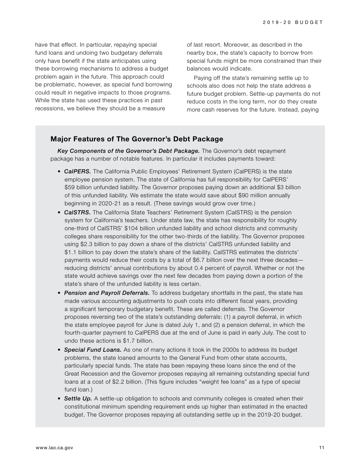have that effect. In particular, repaying special fund loans and undoing two budgetary deferrals only have benefit if the state anticipates using these borrowing mechanisms to address a budget problem again in the future. This approach could be problematic, however, as special fund borrowing could result in negative impacts to those programs. While the state has used these practices in past recessions, we believe they should be a measure

of last resort. Moreover, as described in the nearby box, the state's capacity to borrow from special funds might be more constrained than their balances would indicate.

Paying off the state's remaining settle up to schools also does not help the state address a future budget problem. Settle-up payments do not reduce costs in the long term, nor do they create more cash reserves for the future. Instead, paying

#### **Major Features of The Governor's Debt Package**

Key Components of the Governor's Debt Package. The Governor's debt repayment package has a number of notable features. In particular it includes payments toward:

- **CalPERS.** The California Public Employees' Retirement System (CalPERS) is the state employee pension system. The state of California has full responsibility for CalPERS' \$59 billion unfunded liability. The Governor proposes paying down an additional \$3 billion of this unfunded liability. We estimate the state would save about \$90 million annually beginning in 2020-21 as a result. (These savings would grow over time.)
- *CalSTRS.* The California State Teachers' Retirement System (CalSTRS) is the pension system for California's teachers. Under state law, the state has responsibility for roughly one-third of CalSTRS' \$104 billion unfunded liability and school districts and community colleges share responsibility for the other two-thirds of the liability. The Governor proposes using \$2.3 billion to pay down a share of the districts' CalSTRS unfunded liability and \$1.1 billion to pay down the state's share of the liability. CalSTRS estimates the districts' payments would reduce their costs by a total of \$6.7 billion over the next three decadesreducing districts' annual contributions by about 0.4 percent of payroll. Whether or not the state would achieve savings over the next few decades from paying down a portion of the state's share of the unfunded liability is less certain.
- *Pension and Payroll Deferrals.* To address budgetary shortfalls in the past, the state has made various accounting adjustments to push costs into different fiscal years, providing a significant temporary budgetary benefit. These are called deferrals. The Governor proposes reversing two of the state's outstanding deferrals: (1) a payroll deferral, in which the state employee payroll for June is dated July 1, and (2) a pension deferral, in which the fourth-quarter payment to CalPERS due at the end of June is paid in early July. The cost to undo these actions is \$1.7 billion.
- *Special Fund Loans.* As one of many actions it took in the 2000s to address its budget problems, the state loaned amounts to the General Fund from other state accounts, particularly special funds. The state has been repaying these loans since the end of the Great Recession and the Governor proposes repaying all remaining outstanding special fund loans at a cost of \$2.2 billion. (This figure includes "weight fee loans" as a type of special fund loan.)
- **Settle Up.** A settle-up obligation to schools and community colleges is created when their constitutional minimum spending requirement ends up higher than estimated in the enacted budget. The Governor proposes repaying all outstanding settle up in the 2019-20 budget.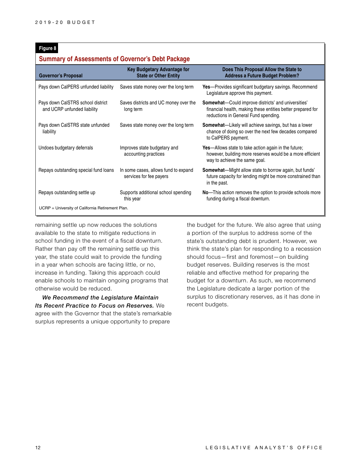#### **Figure 8**

#### **Summary of Assessments of Governor's Debt Package**

| <b>Governor's Proposal</b>                                       | <b>Key Budgetary Advantage for</b><br><b>State or Other Entity</b> | Does This Proposal Allow the State to<br><b>Address a Future Budget Problem?</b>                                                                                  |  |  |
|------------------------------------------------------------------|--------------------------------------------------------------------|-------------------------------------------------------------------------------------------------------------------------------------------------------------------|--|--|
| Pays down CalPERS unfunded liability                             | Saves state money over the long term                               | <b>Yes</b> —Provides significant budgetary savings. Recommend<br>Legislature approve this payment.                                                                |  |  |
| Pays down CalSTRS school district<br>and UCRP unfunded liability | Saves districts and UC money over the<br>long term                 | <b>Somewhat-Could improve districts' and universities'</b><br>financial health, making these entities better prepared for<br>reductions in General Fund spending. |  |  |
| Pays down CalSTRS state unfunded<br>liability                    | Saves state money over the long term                               | Somewhat-Likely will achieve savings, but has a lower<br>chance of doing so over the next few decades compared<br>to CalPERS payment.                             |  |  |
| Undoes budgetary deferrals                                       | Improves state budgetary and<br>accounting practices               | Yes-Allows state to take action again in the future;<br>however, building more reserves would be a more efficient<br>way to achieve the same goal.                |  |  |
| Repays outstanding special fund loans                            | In some cases, allows fund to expand<br>services for fee payers    | <b>Somewhat</b> —Might allow state to borrow again, but funds'<br>future capacity for lending might be more constrained than<br>in the past.                      |  |  |
| Repays outstanding settle up                                     | Supports additional school spending<br>this year                   | No-This action removes the option to provide schools more<br>funding during a fiscal downturn.                                                                    |  |  |
| UCRP = University of California Retirement Plan.                 |                                                                    |                                                                                                                                                                   |  |  |

remaining settle up now reduces the solutions available to the state to mitigate reductions in school funding in the event of a fiscal downturn. Rather than pay off the remaining settle up this year, the state could wait to provide the funding in a year when schools are facing little, or no, increase in funding. Taking this approach could enable schools to maintain ongoing programs that otherwise would be reduced.

*We Recommend the Legislature Maintain Its Recent Practice to Focus on Reserves.* We agree with the Governor that the state's remarkable surplus represents a unique opportunity to prepare

the budget for the future. We also agree that using a portion of the surplus to address some of the state's outstanding debt is prudent. However, we think the state's plan for responding to a recession should focus—first and foremost—on building budget reserves. Building reserves is the most reliable and effective method for preparing the budget for a downturn. As such, we recommend the Legislature dedicate a larger portion of the surplus to discretionary reserves, as it has done in recent budgets.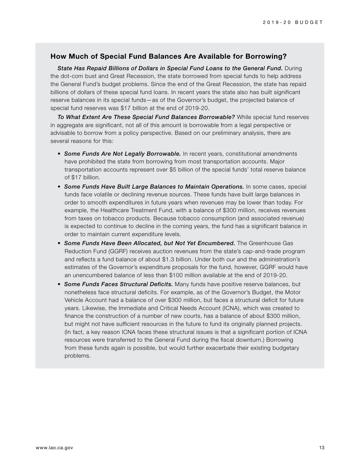#### **How Much of Special Fund Balances Are Available for Borrowing?**

**State Has Repaid Billions of Dollars in Special Fund Loans to the General Fund.** During the dot-com bust and Great Recession, the state borrowed from special funds to help address the General Fund's budget problems. Since the end of the Great Recession, the state has repaid billions of dollars of these special fund loans. In recent years the state also has built significant reserve balances in its special funds—as of the Governor's budget, the projected balance of special fund reserves was \$17 billion at the end of 2019-20.

*To What Extent Are These Special Fund Balances Borrowable?* While special fund reserves in aggregate are significant, not all of this amount is borrowable from a legal perspective or advisable to borrow from a policy perspective. Based on our preliminary analysis, there are several reasons for this:

- *Some Funds Are Not Legally Borrowable.* In recent years, constitutional amendments have prohibited the state from borrowing from most transportation accounts. Major transportation accounts represent over \$5 billion of the special funds' total reserve balance of \$17 billion.
- *Some Funds Have Built Large Balances to Maintain Operations.* In some cases, special funds face volatile or declining revenue sources. These funds have built large balances in order to smooth expenditures in future years when revenues may be lower than today. For example, the Healthcare Treatment Fund, with a balance of \$300 million, receives revenues from taxes on tobacco products. Because tobacco consumption (and associated revenue) is expected to continue to decline in the coming years, the fund has a significant balance in order to maintain current expenditure levels.
- *Some Funds Have Been Allocated, but Not Yet Encumbered.* The Greenhouse Gas Reduction Fund (GGRF) receives auction revenues from the state's cap-and-trade program and reflects a fund balance of about \$1.3 billion. Under both our and the administration's estimates of the Governor's expenditure proposals for the fund, however, GGRF would have an unencumbered balance of less than \$100 million available at the end of 2019-20.
- *Some Funds Faces Structural Deficits.* Many funds have positive reserve balances, but nonetheless face structural deficits. For example, as of the Governor's Budget, the Motor Vehicle Account had a balance of over \$300 million, but faces a structural deficit for future years. Likewise, the Immediate and Critical Needs Account (ICNA), which was created to finance the construction of a number of new courts, has a balance of about \$300 million, but might not have sufficient resources in the future to fund its originally planned projects. (In fact, a key reason ICNA faces these structural issues is that a significant portion of ICNA resources were transferred to the General Fund during the fiscal downturn.) Borrowing from these funds again is possible, but would further exacerbate their existing budgetary problems.